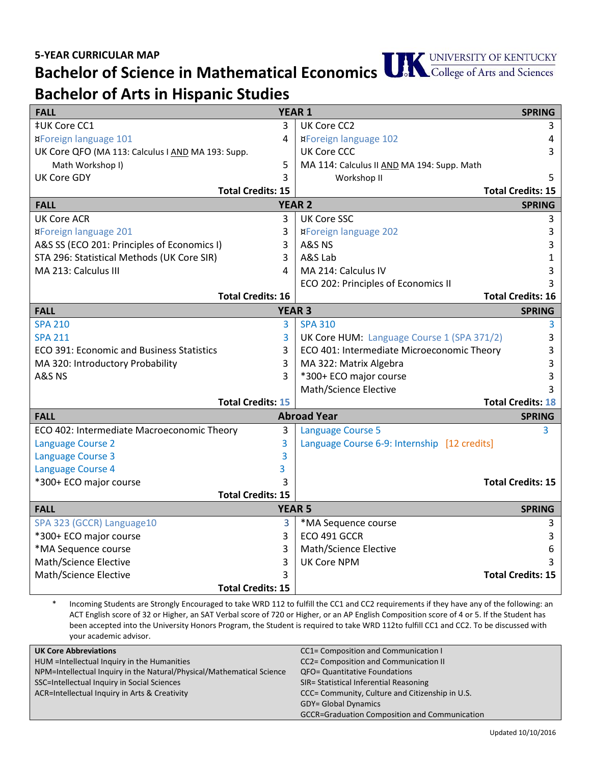## **Bachelor of Science in Mathematical Economics**

## **Bachelor of Arts in Hispanic Studies**

| <b>FALL</b>                                        | <b>YEAR 1</b> |                                              | <b>SPRING</b>            |
|----------------------------------------------------|---------------|----------------------------------------------|--------------------------|
| ‡UK Core CC1                                       | 3             | UK Core CC2                                  | 3                        |
| <b>¤Foreign language 101</b>                       | 4             | <b>¤Foreign language 102</b>                 | 4                        |
| UK Core QFO (MA 113: Calculus I AND MA 193: Supp.  |               | <b>UK Core CCC</b>                           | 3                        |
| Math Workshop I)                                   | 5             | MA 114: Calculus II AND MA 194: Supp. Math   |                          |
| <b>UK Core GDY</b>                                 | 3             | Workshop II                                  | 5                        |
| <b>Total Credits: 15</b>                           |               |                                              | <b>Total Credits: 15</b> |
| <b>YEAR 2</b><br><b>FALL</b><br><b>SPRING</b>      |               |                                              |                          |
| <b>UK Core ACR</b>                                 | 3             | <b>UK Core SSC</b>                           | 3                        |
| ¤Foreign language 201                              | 3             | <b>¤Foreign language 202</b>                 | 3                        |
| A&S SS (ECO 201: Principles of Economics I)        | 3             | A&S NS                                       | 3                        |
| STA 296: Statistical Methods (UK Core SIR)         | 3             | A&S Lab                                      | 1                        |
| MA 213: Calculus III                               | 4             | MA 214: Calculus IV                          | 3                        |
|                                                    |               | ECO 202: Principles of Economics II          | 3                        |
| <b>Total Credits: 16</b>                           |               |                                              | <b>Total Credits: 16</b> |
| <b>FALL</b>                                        | <b>YEAR 3</b> |                                              | <b>SPRING</b>            |
| <b>SPA 210</b>                                     | 3             | <b>SPA 310</b>                               | 3                        |
| <b>SPA 211</b>                                     | 3             | UK Core HUM: Language Course 1 (SPA 371/2)   | 3                        |
| <b>ECO 391: Economic and Business Statistics</b>   | 3             | ECO 401: Intermediate Microeconomic Theory   | 3                        |
| MA 320: Introductory Probability                   | 3             | MA 322: Matrix Algebra                       | 3                        |
| A&S NS                                             | 3             | *300+ ECO major course                       | 3                        |
|                                                    |               | Math/Science Elective                        |                          |
| <b>Total Credits: 15</b>                           |               |                                              | <b>Total Credits: 18</b> |
| <b>Abroad Year</b><br><b>FALL</b><br><b>SPRING</b> |               |                                              |                          |
| ECO 402: Intermediate Macroeconomic Theory         | 3             | <b>Language Course 5</b>                     | 3                        |
| <b>Language Course 2</b>                           | 3             | Language Course 6-9: Internship [12 credits] |                          |
| Language Course 3                                  | 3             |                                              |                          |
| Language Course 4                                  | 3             |                                              |                          |
| *300+ ECO major course                             | 3             |                                              | <b>Total Credits: 15</b> |
| <b>Total Credits: 15</b>                           |               |                                              |                          |
| <b>YEAR 5</b><br><b>FALL</b>                       |               |                                              | <b>SPRING</b>            |
| SPA 323 (GCCR) Language10                          | 3             | *MA Sequence course                          | 3                        |
| *300+ ECO major course                             | 3             | ECO 491 GCCR                                 | 3                        |
| *MA Sequence course                                | 3             | Math/Science Elective                        | 6                        |
| Math/Science Elective                              | 3             | <b>UK Core NPM</b>                           |                          |
| Math/Science Elective                              | 3             |                                              | <b>Total Credits: 15</b> |
| <b>Total Credits: 15</b>                           |               |                                              |                          |

\* Incoming Students are Strongly Encouraged to take WRD 112 to fulfill the CC1 and CC2 requirements if they have any of the following: an ACT English score of 32 or Higher, an SAT Verbal score of 720 or Higher, or an AP English Composition score of 4 or 5. If the Student has been accepted into the University Honors Program, the Student is required to take WRD 112to fulfill CC1 and CC2. To be discussed with your academic advisor.

| <b>UK Core Abbreviations</b>                                          | CC1= Composition and Communication I                 |
|-----------------------------------------------------------------------|------------------------------------------------------|
| HUM = Intellectual Inquiry in the Humanities                          | CC2= Composition and Communication II                |
| NPM=Intellectual Inquiry in the Natural/Physical/Mathematical Science | <b>QFO= Quantitative Foundations</b>                 |
| SSC=Intellectual Inquiry in Social Sciences                           | SIR= Statistical Inferential Reasoning               |
| ACR=Intellectual Inquiry in Arts & Creativity                         | CCC= Community, Culture and Citizenship in U.S.      |
|                                                                       | <b>GDY= Global Dynamics</b>                          |
|                                                                       | <b>GCCR=Graduation Composition and Communication</b> |